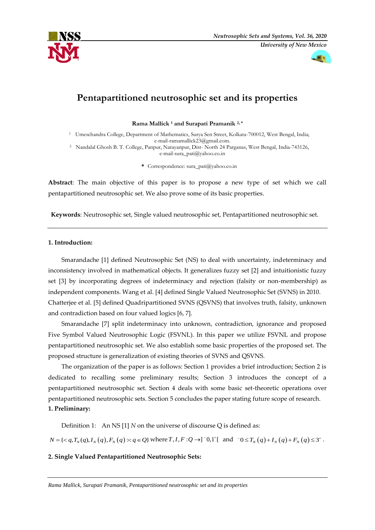



# **Pentapartitioned neutrosophic set and its properties**

**Rama Mallick <sup>1</sup> and Surapati Pramanik 2, \***

- <sup>1</sup> Umeschandra College, Department of Mathematics, Surya Sen Street, Kolkata-700012, West Bengal, India; e-mail-ramamallick23@gmail.com.
- <sup>2</sup> Nandalal Ghosh B. T. College, Panpur, Narayanpur, Dist- North 24 Parganas, West Bengal, India-743126, e-mail-sura\_pati@yahoo.co.in
	- **\*** Correspondence: sura\_pati@yahoo.co.in

**Abstract**: The main objective of this paper is to propose a new type of set which we call pentapartitioned neutrosophic set. We also prove some of its basic properties.

**Keywords**: Neutrosophic set, Single valued neutrosophic set, Pentapartitioned neutrosophic set.

## **1. Introduction:**

Smarandache [1] defined Neutrosophic Set (NS) to deal with uncertainty, indeterminacy and inconsistency involved in mathematical objects. It generalizes fuzzy set [2] and intuitionistic fuzzy set [3] by incorporating degrees of indeterminacy and rejection (falsity or non-membership) as independent components. Wang et al. [4] defined Single Valued Neutrosophic Set (SVNS) in 2010. Chatterjee et al. [5] defined Quadripartitioned SVNS (QSVNS) that involves truth, falsity, unknown and contradiction based on four valued logics [6, 7].

Smarandache [7] split indeterminacy into unknown, contradiction, ignorance and proposed Five Symbol Valued Neutrosophic Logic (FSVNL). In this paper we utilize FSVNL and propose pentapartitioned neutrosophic set. We also establish some basic properties of the proposed set. The proposed structure is generalization of existing theories of SVNS and QSVNS.

The organization of the paper is as follows: Section 1 provides a brief introduction; Section 2 is dedicated to recalling some preliminary results; Section 3 introduces the concept of a pentapartitioned neutrosophic set. Section 4 deals with some basic set-theoretic operations over pentapartitioned neutrosophic sets. Section 5 concludes the paper stating future scope of research. **1. Preliminary:**

Definition 1: An NS [1] *N* on the universe of discourse Q is defined as:

 $N = \{: q \in \mathcal{Q}\}\$ where  $T, I, F: \mathcal{Q} \to ]^{-0} , 1^+[$  and  $^{-0} \leq T_N(q) + I_N(q) + F_N(q) \leq 3^+$ .

## **2. Single Valued Pentapartitioned Neutrosophic Sets:**

*Rama Mallick, Surapati Pramanik, Pentapartitioned neutrosophic set and its properties*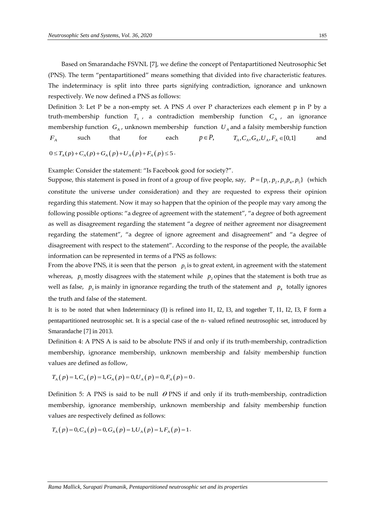Based on Smarandache FSVNL [7], we define the concept of Pentapartitioned Neutrosophic Set (PNS). The term "pentapartitioned" means something that divided into five characteristic features. The indeterminacy is split into three parts signifying contradiction, ignorance and unknown respectively. We now defined a PNS as follows:

Definition 3: Let P be a non-empty set. A PNS *A* over P characterizes each element p in P by a truth-membership function  $T_A$ , a contradiction membership function  $C_A$ , an ignorance membership function  $G_A$ , unknown membership function  $U_A$  and a falsity membership function  $F_A$ such that for each  $p \in P$ ,  $T_A, C_A, G_A, U_A, F_A \in [0,1]$ and

 $0 \leq T_A(p) + C_A(p) + G_A(p) + U_A(p) + F_A(p) \leq 5$ .

Example: Consider the statement: "Is Facebook good for society?".

Suppose, this statement is posed in front of a group of five people, say,  $P = \{p_1, p_2, p_3p_4, p_5\}$  (which constitute the universe under consideration) and they are requested to express their opinion regarding this statement. Now it may so happen that the opinion of the people may vary among the following possible options: "a degree of agreement with the statement", "a degree of both agreement as well as disagreement regarding the statement "a degree of neither agreement nor disagreement regarding the statement", "a degree of ignore agreement and disagreement" and "a degree of disagreement with respect to the statement". According to the response of the people, the available information can be represented in terms of a PNS as follows:

From the above PNS, it is seen that the person  $p_1$  is to great extent, in agreement with the statement whereas,  $p_5$  mostly disagrees with the statement while  $p_2$  opines that the statement is both true as well as false,  $p_3$  is mainly in ignorance regarding the truth of the statement and  $p_4$  totally ignores the truth and false of the statement.

It is to be noted that when Indeterminacy (I) is refined into I1, I2, I3, and together T, I1, I2, I3, F form a pentapartitioned neutrosophic set. It is a special case of the n- valued refined neutrosophic set, introduced by Smarandache [7] in 2013.

Definition 4: A PNS A is said to be absolute PNS if and only if its truth-membership, contradiction membership, ignorance membership, unknown membership and falsity membership function values are defined as follow,

values are defined as follow,  

$$
T_A(p) = 1, C_A(p) = 1, G_A(p) = 0, U_A(p) = 0, F_A(p) = 0.
$$

Definition 5: A PNS is said to be null  $\theta$  PNS if and only if its truth-membership, contradiction membership, ignorance membership, unknown membership and falsity membership function

values are respectively defined as follows:  
\n
$$
T_A(p) = 0, C_A(p) = 0, G_A(p) = 1, U_A(p) = 1, F_A(p) = 1.
$$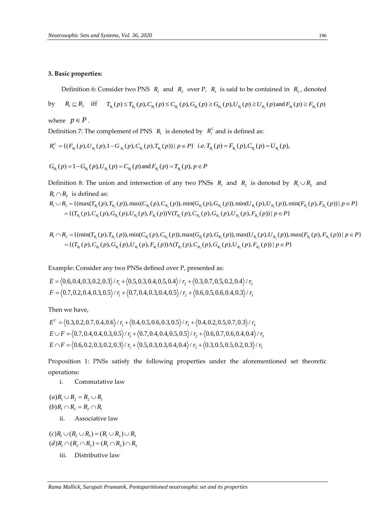#### **3. Basic properties:**

Definition 6: Consider two PNS  $R_1$  and  $R_2$  over P,  $R_1$  is said to be contained in  $R_2$ , denoted

Definition 6: Consider two PNS 
$$
R_1
$$
 and  $R_2$  over P,  $R_1$  is said to be contained in  $R_2$ , denoted  
by  $R_1 \subseteq R_2$  iff  $T_{R_1}(p) \le T_{R_2}(p), C_{R_1}(p) \le C_{R_2}(p), G_{R_1}(p) \ge G_{R_2}(p), U_{R_1}(p) \ge U_{R_2}(p)$  and  $F_{R_1}(p) \ge F_{R_2}(p)$ 

where  $p \in P$ .

Definition 7: The complement of PNS 
$$
R_1
$$
 is denoted by  $R_1^C$  and is defined as:  
\n
$$
R_1^C = \{ (F_{R_1}(p), U_{R_1}(p), 1 - G_{R_1}(p), C_{R_1}(p), T_{R_1}(p)) \mid p \in P \} \text{ i.e. } T_{R_1}(p) = F_{R_1}(p), C_{R_1}(p) = U_{R_1}(p),
$$

 $G_{R_1}(p) = 1 - G_{R_1}(p), U_{R_1}(p) = C_{R_1}(p)$  and  $F_{R_1}(p) = T_{R_1}(p), p \in P$ 

Definition 8: The union and intersection of any two PNSs  $R_1$  and  $R_2$  is denoted by  $R_1 \cup R_2$  and  $R_1 \cap R_2$  is defined as:  $P_{R_1}(p) = 1 - G_{R_1}(p), U_{R_1}(p) = C_{R_1}(p)$  and  $F_{R_1}(p) = T_{R_1}(p), p \in P$ <br>
finition 8: The union and intersection of any two PNSs  $R_1$  and  $R_2$  is denoted by  $R_1 \cup R_2$  and<br>  $\cap R_2$  is defined as:<br>  $\cup R_2 = \{(\max(T_{R_1}(p), T_{R_2}(p)),$ 

$$
G_{R_1}(p) = 1 - G_{R_1}(p), U_{R_1}(p) = C_{R_1}(p) \text{ and } F_{R_1}(p) = T_{R_1}(p), p \in P
$$
  
Definition 8: The union and intersection of any two PNSs  $R_1$  and  $R_2$  is denoted by  $R_1 \cup R_2$  and  
 $R_1 \cap R_2$  is defined as:  

$$
R_1 \cup R_2 = \{(\max(T_{R_1}(p), T_{R_2}(p)), \max(C_{R_1}(p), C_{R_2}(p)), \min(G_{R_1}(p), G_{R_2}(p)), \min(U_{R_1}(p), U_{R_2}(p)), \min(F_{R_1}(p), F_{R_2}(p)) | p \in P\}
$$

$$
= \{(T_{R_1}(p), C_{R_1}(p), G_{R_1}(p), U_{R_1}(p), F_{R_1}(p))\} \cup (T_{R_2}(p), C_{R_2}(p), G_{R_2}(p), U_{R_2}(p), F_{R_2}(p)) | p \in P\}
$$

$$
R_1 \cap R_2 = \{(\min(T_{R_1}(p), T_{R_2}(p)), \min(C_{R_1}(p), C_{R_2}(p)), \max(G_{R_1}(p), G_{R_2}(p)), \max(U_{R_1}(p), U_{R_2}(p)), \max(F_{R_1}(p), F_{R_2}(p)) | p \in P\}
$$

$$
= \{(T_{R_1}(p), C_{R_2}(p), G_{R_2}(p), U_{R_2}(p), F_{R_2}(p))\} \cup (T_{R_1}(p), C_{R_2}(p), G_{R_2}(p), U_{R_2}(p), F_{R_2}(p)) | p \in P\}
$$

$$
R_1 \cap R_2 = \{(\max(T_{R_1}(p), T_{R_2}(p)), \max(C_{R_1}(p), C_{R_2}(p)), \min(C_{R_1}(p), G_{R_2}(p)), \min(U_{R_1}(p), U_{R_2}(p)), \min(F_{R_1}(p), F_{R_2}(p)))\} p \in P\}
$$
  
\n
$$
= \{ (T_{R_1}(p), C_{R_1}(p), G_{R_1}(p), U_{R_1}(p), F_{R_1}(p)) \} (T_{R_2}(p), C_{R_2}(p), G_{R_2}(p), U_{R_2}(p), F_{R_2}(p)) | p \in P \}
$$
  
\n
$$
R_1 \cap R_2 = \{ (\min(T_{R_1}(p), T_{R_2}(p)), \min(C_{R_1}(p), C_{R_2}(p)), \max(G_{R_1}(p), G_{R_2}(p)), \max(U_{R_1}(p), U_{R_2}(p)), \max(F_{R_1}(p), F_{R_2}(p))) \} p \in P \}
$$
  
\n
$$
= \{ (T_{R_1}(p), C_{R_1}(p), G_{R_1}(p), U_{R_1}(p), F_{R_1}(p)) \} (T_{R_2}(p), C_{R_2}(p), G_{R_2}(p), U_{R_2}(p), F_{R_2}(p)) | p \in P \}
$$

Example: Consider any two PNSs defined over P, presented as:

Example: Consider any two PNSs defined over P, presented as:  
\n
$$
E = \langle 0.6, 0.4, 0.3, 0.2, 0.3 \rangle / r_1 + \langle 0.5, 0.3, 0.4, 0.5, 0.4 \rangle / r_2 + \langle 0.3, 0.7, 0.5, 0.2, 0.4 \rangle / r_3
$$
\n
$$
F = \langle 0.7, 0.2, 0.4, 0.3, 0.5 \rangle / r_1 + \langle 0.7, 0.4, 0.3, 0.4, 0.5 \rangle / r_2 + \langle 0.6, 0.5, 0.6, 0.4, 0.3 \rangle / r_3
$$

Then we have,

Then we have,  
\n
$$
E^{c} = \langle 0.3, 0.2, 0.7, 0.4, 0.6 \rangle / r_{1} + \langle 0.4, 0.5, 0.6, 0.3, 0.5 \rangle / r_{2} + \langle 0.4, 0.2, 0.5, 0.7, 0.3 \rangle / r_{3}
$$
\n
$$
E \cup F = \langle 0.7, 0.4, 0.4, 0.3, 0.5 \rangle / r_{1} + \langle 0.7, 0.4, 0.4, 0.5, 0.5 \rangle / r_{2} + \langle 0.6, 0.7, 0.6, 0.4, 0.4 \rangle / r_{3}
$$
\n
$$
E \cap F = \langle 0.6, 0.2, 0.3, 0.2, 0.3 \rangle / r_{1} + \langle 0.5, 0.3, 0.3, 0.4, 0.4 \rangle / r_{2} + \langle 0.3, 0.5, 0.5, 0.2, 0.3 \rangle / r_{3}
$$

Proposition 1: PNSs satisfy the following properties under the aforementioned set theoretic operations:

i. Commutative law

 $(a)R_1 \cup R_2 = R_2 \cup R_1$  $(b)R_1 \cap R_2 = R_2 \cap R_1$ 

ii. Associative law

 $(c)R_1 \cup (R_2 \cup R_3) = (R_1 \cup R_2) \cup R_3$  $( d) R_1 \cap ( R_2 \cap R_3 ) = ( R_1 \cap R_2 ) \cap R_3$ 

iii. Distributive law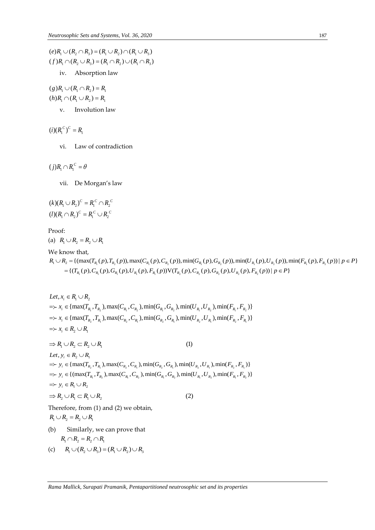$(e)R_1 \cup (R_2 \cap R_3) = (R_1 \cup R_2) \cap (R_1 \cup R_3)$  $(e)R_1 \cup (R_2 \cap R_3) = (R_1 \cup R_2) \cap (R_1 \cup R_3)$ <br>  $(f)R_1 \cap (R_2 \cup R_3) = (R_1 \cap R_2) \cup (R_1 \cap R_3)$ iv. Absorption law

 $(g)R_1 \cup (R_1 \cap R_2) = R_1$  $(h)R_1 \cap (R_1 \cup R_2) = R_1$ 

v. Involution law

 $(i) (R_1^C)^C = R_1$ 

vi. Law of contradiction

 $(j)R_1 \cap R_1^C = \theta$ 

vii. De Morgan's law

$$
(k)(R_1 \cup R_2)^c = R_1^c \cap R_2^c
$$
  

$$
(l)(R_1 \cap R_2)^c = R_1^c \cup R_2^c
$$

Proof:

(a)  $R_1 \cup R_2 = R_2 \cup R_1$ 

We know that,

1 2 1 2 1 2 1 2 1 2 1 2 {(max( ( ), ( )),max( ( ), ( )),min( ( ), ( )),min( ( ), ( )),min( ( ), ( )) | }  $= \{ (T_{R_1}(p), C_{R_1}(p), G_{R_1}(p), U_{R_1}(p), F_{R_1}(p)) \} \vee (T_{R_2}(p), C_{R_2}(p), G_{R_2}(p), U_{R_2}(p), F_{R_2}(p)) | p \in P \}$  $\begin{aligned} &\cup R_2=R_2\cup R_1\ &\text{with}\ &\quad=\{(\max(T_{R_1}(p),T_{R_2}(p)),\max(C_{R_1}(p),C_{R_2}(p)),\min(G_{R_1}(p),G_{R_2}(p)),\min(U_{R_1}(p),U_{R_2}(p)),\ &\{(T_{R_1}(p),C_{R_1}(p),G_{R_1}(p),U_{R_1}(p),F_{R_1}(p))\}\vee(T_{R_2}(p),C_{R_2}(p),G_{R_2}(p),U_{R_2}(p),F_{R_2}(p))\mid p\in P\}\end{aligned}$  $\begin{aligned} &P_{\mathcal{R}_1}(p), T_{R_2}(p)), \max(C_{R_1}(p), C_{R_2}(p)), \min(G_{R_1}(p), G_{R_2}(p)), \min(U_{R_1}(p), U_{R_2}(p)), \min(F_{R_1}(p), F_{R_2}(p)), \ &\sum_{k=1}^N \mathcal{L}_k(x), F_{\mathcal{R}_k}(x), F_{\mathcal{R}_k}(x), F_{\mathcal{R}_k}(x), F_{\mathcal{R}_k}(x), F_{\mathcal{R}_k}(x), F_{\mathcal{R}_k}(x), F_{\mathcal{R}_k}(x), F_{\mathcal{R}_k}(x), F_{\mathcal{$  $\begin{aligned} \text{that,} \ \text{(max}(T_{_{R_{\text{I}}}}(p),T_{_{R_{\text{2}}}}(p)),\text{max}(C_{_{R_{\text{I}}}}(p),C_{_{R_{\text{2}}}}(p)),\text{min}(G_{_{R_{\text{I}}}}(p),G_{_{R_{\text{2}}}}(p)),\text{min}(U_{_{R_{\text{I}}}}(p),C_{_{R_{\text{I}}}}(p),G_{_{R_{\text{I}}}}(p),G_{_{R_{\text{I}}}}(p),G_{_{R_{\text{I}}}}(p),F_{_{R_{\text{I}}}}(p)),\text{with}\quad \text{if}\quad \text{if}\quad \text$ *Proof:*<br>
(a)  $R_1 \cup R_2 = R_2 \cup R_1$ <br>  $R_1 \cup R_2 = \{(\max(T_{R_1}(p), T_{R_2}(p)), \max(C_{R_1}(p), C_{R_2}(p)), \min(G_{R_1}(p), G_{R_2}(p)), \min(U_{R_1}(p), U_{R_2}(p)), \min(F_{R_1}(p), F_{R_2}(p)) | p \in P\}$ <br>  $= \{(T_n(p), C_n(p), G_n(p), U_n(p), F_n(p))\}$   $\{T_n(p), C_n(p), C_n(p), C_n(p), U_n(p), F_n(p)) | p \in P\}$  $R_2 = R_2 \cup R_1$ <br> *T* that,<br>
{ (max( $T_{R_1}(p), T_{R_2}(p)$ ), max( $C_{R_1}(p), C_{R_2}(p)$ ), min( $G_{R_1}(p), G_{R_2}(p)$ ), min( $U_{R_1}(p), U_{R_2}(p)$ ),<br>  $T_{R_1}(p), C_{R_1}(p), G_{R_1}(p), U_{R_1}(p), F_{R_1}(p)$ ) $V(T_{R_2}(p), C_{R_2}(p), G_{R_2}(p), U_{R_2}(p), F_{R_2}(p)) \mid p \in$ oof:<br>  $R_1 \cup R_2 = R_2 \cup R_1$ <br>
Exhow that,<br>  $\cup R_2 = \{(\max(T_{R_1}(p), T_{R_2}(p)), \max(C_{R_1}(p), C_{R_2}(p)), \min(G_{R_1}(p), G_{R_2}(p)), \min(U_{R_1}(p), U_{R_2}(p)), \min(F_{R_1}(p), F_{R_2}(p)) | p \in P\}$ <br>  $= \{ (T_{(p),C_{(p)},C_{(p)},G_{(p)},U_{(p)},F_{(p)},U_{(p)},G_{(p)},U_{(p)},F_{(p)},U_{(p)},F_{(p)},F_{(p)},F_{$ :<br>  $\bigcup R_2 = R_2 \bigcup R_1$ <br>
now that,<br>  $R_2 = \{(\max(T_{R_1}(p), T_{R_2}(p)), \max(C_{R_1}(p), C_{R_2}(p)), \min(G_{R_1}(p), G_{R_2}(p)), \min(U_{R_1}(p), U_{R_2}(p)), \min(F_{R_1}(p), F_{R_2}(p))\})$ <br>  $= \{(T_{R_1}(p), C_{R_1}(p), G_{R_1}(p), U_{R_1}(p), F_{R_1}(p))\}$   $\{T_{R_2}(p), T_{R_2}(p), T_{R_2}(p), T_{R_2}(p), T_{$ 

Let,  $x_i \in R_1 \cup R_2$ <br>  $\Rightarrow x_i \in \{\max(T_{R_1}, T_{R_2}), \max(C_{R_1}, C_{R_2}), \min(G_{R_1}, G_{R_2}), \min(U_{R_1}, U_{R_2}), \min(F_{R_1}, F_{R_2})\}$  $x_i \in \{\max(T_{R_1}, T_{R_2}), \max(C_{R_1}, C_{R_2}), \min(G_{R_1}, G_{R_2}), \min(U_{R_1}, U_{R_2}), \min(F_{R_1}, F_{R_2})\}$ <br>  $x_i \in \{\max(T_{R_2}, T_{R_1}), \max(C_{R_2}, C_{R_1}), \min(G_{R_2}, G_{R_1}), \min(U_{R_2}, U_{R_1}), \min(F_{R_2}, F_{R_1})\}$ Let,  $x_i \in R_1 \cup R_2$  $\sum_{i} \in R_2 \cup R_1$  $x_i \in \max(T$ <br> $x_i \in R_2 \cup R$ Let,  $x_i \in R_1 \cup R_2$ <br>=>  $x_i \in {\max(T_{R_1}, \ldots)}$ <br>=>  $x_i \in {\max(T_{R_2}, \ldots)}$  $\sim$   $x_i$  ∈ { $max(T_{R_1}, T_{R_2}),$ <br>  $\Rightarrow$   $x_i$  ∈ { $max(T_{R_2}, T_{R_1}),$ <br>  $\Rightarrow$   $x_i$  ∈  $R_2 \cup R_1$  $\Rightarrow$   $R_i \subseteq R_2 \cup R_1$ <br>  $\Rightarrow$   $R_1 \cup R_2 \subseteq R_2 \cup R_1$  (1)<br> *Let*,  $y_i \in R_2 \cup R_1$ ⇒  $R_1 \cup R_2 \subset R_2 \cup R_1$  (1)<br> *Let*,  $y_i \in R_2 \cup R_1$  (2)<br>
⇒  $y_i \in \{\max(T_{R_2}, T_{R_i})$ ,  $\max(C_{R_2}, C_{R_i})$ ,  $\min(G_{R_2}, G_{R_i})$ ,  $\min(U_{R_2}, U_{R_i})$ ,  $\min(F_{R_2}, F_{R_i})\}$  $y_i \in R_2 \cup R_1$ <br>  $y_i \in \{\max(T_{R_2}, T_{R_1}), \max(C_{R_2}, C_{R_1}), \min(G_{R_2}, G_{R_1}), \min(U_{R_2}, U_{R_1}), \min(F_{R_2}, F_{R_1})\}$ <br>  $y_i \in \{(\max(T_{R_1}, T_{R_2}), \max(C_{R_1}, C_{R_2}), \min(G_{R_1}, G_{R_2}), \min(U_{R_1}, U_{R_2}), \min(F_{R_1}, F_{R_2})\}$  $x_1 \cup x_2 \cup x_2$ <br> $y_i \in R_2 \cup R_1$  $\sum_{i} \in R_1 \cup R_2$  $y_i \in \{\max(1, 0)\}$ <br> $y_i \in \{(\max(0, 0)\}$ Let,  $y_i \in R_2 \cup R_1$ <br>=>  $y_i \in {\max(T_{R_2})}$ <br>=>  $y_i \in {\max(T_{R_1})}$  $\Rightarrow$  y<sub>i</sub> ∈ {max(T<sub>R<sub>2</sub></sub>,T<sub>R<sub>i</sub></sub>), max(C<sub>R<sub>2</sub></sub>,C<sub>R<sub>i</sub></sub>), min(G<sub>R<sub>2</sub></sub>,G<sub>R<sub>i</sub></sub>), min(I<br>  $\Rightarrow$  y<sub>i</sub> ∈ {(max(T<sub>R<sub>1</sub></sub>,T<sub>R<sub>2</sub></sub>), max(C<sub>R<sub>1</sub></sub>,C<sub>R<sub>2</sub></sub>), min(G<sub>R<sub>1</sub></sub>,G<sub>R<sub>2</sub></sub>), min(<br>  $\Rightarrow$  y<sub>i</sub> ∈ R<sub>1</sub> ∪ R<sub>2</sub><br>  $\Rightarrow$  R<sub>2</sub> ∪ R<sub>1</sub> ⊂ R<sub>1</sub> Therefore, from (1) and (2) we obtain,  $R_1 \cup R_2 = R_2 \cup R_1$ 

- (b) Similarly, we can prove that  $R_1 \cap R_2 = R_2 \cap R_1$
- (c)  $R_1 \cup (R_2 \cup R_3) = (R_1 \cup R_2) \cup R_3$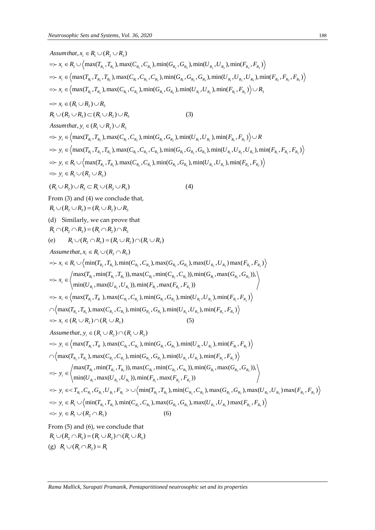Neutronscopic Sets and Systems, Vol. 36, 2020  
\n
$$
Assum that, x_i \in R_i \cup (R_i \cup R_i)
$$
\n
$$
\Rightarrow x_i \in R_i \cup \{max(T_n, T_n), max(C_n, C_n), min(G_n, G_n), min(U_n, U_n), min(F_n, F_n, Y_n))
$$
\n
$$
\Rightarrow x_i \in \{max(T_n, T_n, T_n), max(C_n, C_n, C_n), min(G_n, G_n, G_n), min(U_n, U_n, U_n), min(F_n, F_n, Y_n))
$$
\n
$$
\Rightarrow x_i \in \{max(T_n, T_n), max(C_n, C_n), min(G_n, G_n), min(U_n, U_n), min(F_n, F_n, Y_n), \forall x_i \}
$$
\n
$$
\Rightarrow x_i \in (R_i \cup R_2) \cup R_1
$$
\n
$$
R_i \cup (R_i \cup R_2) \cup R_2
$$
\n
$$
R_i \cup (R_i \cup R_3) \cup R_3
$$
\n
$$
Assum that, y_i \in (R_i \cup R_1) \cup R_1
$$
\n
$$
\Rightarrow y_i \in \{max(T_n, T_n), max(C_n, C_n), min(G_n, G_n), min(C_n, U_n), min(F_n, F_n, Y_n))
$$
\n
$$
\Rightarrow y_i \in \{max(T_n, T_n), max(C_n, C_n), min(G_n, G_n), min(U_n, U_n), min(F_n, F_n, Y_n))
$$
\n
$$
\Rightarrow y_i \in R_i \cup \{max(T_n, T_n), max(C_n, C_n, C_n), min(G_n, G_n, D_n), min(U_n, U_n), min(F_n, F_n, Y_n))
$$
\n
$$
\Rightarrow y_i \in R_i \cup \{max(T_n, T_n), max(C_n, C_n, C_n), min(G_n, G_n), min(U_n, U_n), min(F_n, F_n, Y_n))
$$
\n
$$
\Rightarrow y_i \in R_i \cup \{max(T_n, T_n), max(C_n, C_n, C_n), min(G_n, G_n), min(U_n, U_n), min(F_n, F_n, Y_n))
$$
\n
$$
\Rightarrow x_i \in R_i \cup \{min(T_n, T_n), max(C_n, C_n), max(G_n, G_n), min(G_n, max(G_n, F_n, Y_n))
$$
\n
$$
\Rightarrow x_i \in R_i \cup \{min(T_n, T_n), max(C_n, C_n), min(C_n, C_n), min(C_n, max(G_n, G_n), Y_n
$$

From (5) and (6), we conclude that  $R_1 \cup (R_2 \cap R_3) = (R_1 \cup R_2) \cap (R_1 \cup R_3)$ (g)  $R_1 \cup (R_1 \cap R_2) = R_1$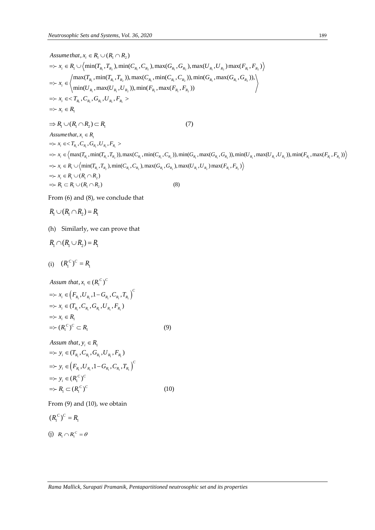*Neutronophic Sets and Systems, Vol. 36, 2020*  
\n
$$
Assume that, x_i \in R_1 \cup (R_1 \cap R_2)
$$
\n
$$
\Rightarrow x_i \in R_1 \cup (\min(T_{R_1}, T_{R_2}), \min(C_{R_1}, C_{R_2}), \max(G_{R_1}, G_{R_2}), \max(U_{R_1}, U_{R_2}) \max(F_{R_1}, F_{R_2}))
$$
\n
$$
\Rightarrow x_i \in (\max(T_{R_1}, \min(T_{R_1}, T_{R_2})), \max(C_{R_1}, \min(C_{R_1}, C_{R_2})), \min(G_{R_1}, \max(G_{R_1}, G_{R_2})),)
$$
\n
$$
\Rightarrow x_i \in \langle x_i, C_{R_1}, C_{R_1}, U_{R_2}, D_{R_1}, \max(U_{R_1}, D_{R_2}), \max(U_{R_1}, F_{R_2})
$$
\n
$$
\Rightarrow x_i \in \langle T_{R_1}, C_{R_1}, C_{R_1}, U_{R_1}, F_{R_1} \rangle
$$
\n
$$
\Rightarrow X_i \in R_1
$$
\n
$$
\Rightarrow R_1 \cup (R_1 \cap R_2) \subset R_1
$$
\n
$$
\Rightarrow x_i \in R_1
$$
\n
$$
\Rightarrow x_i \in \langle \max(T_{R_1}, \min(T_{R_1}, T_{R_2}), \max(C_{R_1}, \min(C_{R_1}, C_{R_2}), \min(G_{R_1}, \max(G_{R_1}, G_{R_2})), \min(U_{R_1}, \max(U_{R_1}, U_{R_2}), \min(F_{R_1}, \max(F_{R_1}, F_{R_2})) \rangle
$$
\n
$$
\Rightarrow x_i \in R_1 \cup (\min(T_{R_1}, T_{R_2}), \min(C_{R_1}, C_{R_2}), \max(G_{R_1}, G_{R_2}), \max(U_{R_1}, U_{R_2}) \max(F_{R_1}, F_{R_2}) )
$$
\n
$$
\Rightarrow x_i \in R_1 \cup (R_1 \cap R_2)
$$
\n
$$
\Rightarrow R_1 \subset R_1 \cup (R_1 \cap R_2)
$$
\n(8)

From (6) and (8), we conclude that

$$
R_1 \cup (R_1 \cap R_2) = R_1
$$

(h) Similarly, we can prove that

$$
R_1 \cap (R_1 \cup R_2) = R_1
$$

(i)  $(R_1^C)^C = R_1$ 

Assum that, 
$$
x_i \in (R_1^C)^C
$$
  
\n $\Rightarrow x_i \in (F_{R_1}, U_{R_1}, 1 - G_{R_1}, C_{R_1}, T_{R_1})^C$   
\n $\Rightarrow x_i \in (T_{R_1}, C_{R_1}, G_{R_1}, U_{R_1}, F_{R_1})$   
\n $\Rightarrow x_i \in R_1$   
\n $\Rightarrow (R_1^C)^C \subset R_1$  (9)  
\nAssum that,  $y_i \in R_1$ 

Assum that, 
$$
y_i \in R_1
$$
  
\n $\Rightarrow y_i \in (T_{R_1}, C_{R_1}, G_{R_1}, U_{R_1}, F_{R_1})$   
\n $\Rightarrow y_i \in (F_{R_1}, U_{R_1}, 1 - G_{R_1}, C_{R_1}, T_{R_1})^C$   
\n $\Rightarrow y_i \in (R_1^C)^C$   
\n $\Rightarrow R_1 \subset (R_1^C)^C$  (10)

From (9) and (10), we obtain

$$
(R_1^C)^C = R_1
$$

(j)  $R_1 \cap R_1^c = \theta$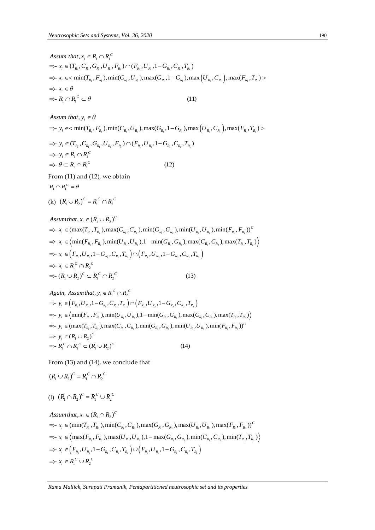Assum that,  $x_i \in R_1 \cap R_1^C$ <br>  $\Rightarrow x_i \in (T_{R_1}, C_{R_1}, G_{R_1}, U_{R_1}, F_{R_1}) \cap (F_{R_1}, U_{R_1}, 1 - G_{R_1}, C_{R_1}, T_{R_1})$ <br>  $\Rightarrow x_i \in \{ \min(T_{R_1}, F_{R_1}), \min(C_{R_1}, U_{R_1}), \max(G_{R_1}, 1 - G_{R_1}), \max(U_{R_1}, C_{R_1}), \max(F_{R_1}, T_{R_1}) >$ Assum that,  $x_i \in R_1 \cap R_1^C$ <br>  $\Rightarrow x_i \in (T_{R_1}, C_{R_1}, G_{R_i}, U_{R_1}, F_{R_i}) \cap (F_{R_1}, U_{R_1}, 1 - G_{R_1}, C_{R_1}, T_{R_1})$ Neutrosophic Sets and Systems, Vol.<br> *Assum that*,  $x_i \in R_1 \cap R_1^C$  $\sum_{i=1}^{i} \cap R_i$ (11)  $x_i \in \theta$ *C*  $x_i \in \mathbb{R}$ <br> $x_i \in \theta$ <br> $R_1 \cap R_2$  $\Rightarrow R_i \cap R_i^C \subset \theta$ <br>*Assum that,*  $y_i \in$  $\Rightarrow$   $x_i \in (I_{R_i}, C_{R_i}, C_i)$ <br>  $\Rightarrow$   $x_i \in \text{min}(T_{R_i}, C_i)$ <br>  $\Rightarrow$   $x_i \in \theta$  $\Rightarrow x_i \in \text{min}(T_{R_1}, F_{R_1}), \text{m}$ <br>  $\Rightarrow x_i \in \theta$ <br>  $\Rightarrow R_1 \cap R_1^C \subset \theta$ 

Assum that, 
$$
y_i \in \theta
$$

Assum that,  $y_i \in \theta$ <br>  $\Rightarrow y_i \in \alpha \min(T_{R_1}, F_{R_i})$ ,  $\min(C_{R_1}, U_{R_i})$ ,  $\max(G_{R_1}, 1 - G_{R_i})$ ,  $\max(U_{R_1}, C_{R_i})$ ,  $\max(F_{R_1}, T_{R_i}) >$ 

$$
\Rightarrow y_i \in \text{Inm}(I_{R_1}, P_{R_1}), \text{min}(C_{R_1}, C_{R_1}), \text{max}(C_{R_1}, 1 - C_{R_1}), \text{max}(C_{R_1}, C_{R_1}), \text{max}(C_{R_1}, C_{R_1}), \text{max}(C_{R_1}, C_{R_1}, C_{R_1}), \text{max}(C_{R_1}, C_{R_1}, C_{R_1}), \text{max}(C_{R_1}, C_{R_1}, C_{R_1}), \text{max}(C_{R_1}, C_{R_1}, C_{R_1}), \text{max}(C_{R_1}, C_{R_1}, C_{R_1}), \text{max}(C_{R_1}, C_{R_1}, C_{R_1}), \text{max}(C_{R_1}, C_{R_1}, C_{R_1}), \text{max}(C_{R_1}, C_{R_1}, C_{R_1}), \text{max}(C_{R_1}, C_{R_1}, C_{R_1}), \text{max}(C_{R_1}, C_{R_1}, C_{R_1}), \text{max}(C_{R_1}, C_{R_1}, C_{R_1}), \text{max}(C_{R_1}, C_{R_1}, C_{R_1}), \text{max}(C_{R_1}, C_{R_1}, C_{R_1}), \text{max}(C_{R_1}, C_{R_1}, C_{R_1}), \text{max}(C_{R_1}, C_{R_1}, C_{R_1}), \text{max}(C_{R_1}, C_{R_1}, C_{R_1}), \text{max}(C_{R_1}, C_{R_1}, C_{R_1}), \text{max}(C_{R_1}, C_{R_1}, C_{R_1}), \text{max}(C_{R_1}, C_{R_1}, C_{R_1}), \text{max}(C_{R_1}, C_{R_1}, C_{R_1}), \text{max}(C_{R_1}, C_{R_1}, C_{R_1}), \text{max}(C_{R_1}, C_{R_1}, C_{R_1}), \text{max}(C_{R_1}, C_{R_1}, C_{R_1}), \text{max}(C_{R_1}, C_{R_1}, C_{R_1}), \text{max}(C_{R_1}, C_{R_1}, C_{R_1}), \text{max}(C_{R_1}, C_{R_1}, C_{R_1}), \text{max}(C_{R_1}, C_{R_1}, C_{R_1}), \text{max}(C_{R_1}, C_{R_1}, C_{R_1}), \text{max}(C_{R_1}, C_{R_1}, C_{R_
$$

From (11) and (12), we obtain  $R_{1} \cap R_{1}^{C} = \theta$ 

(k) 
$$
(R_1 \cup R_2)^c = R_1^c \cap R_2^c
$$

(k) 
$$
(R_1 \cup R_2)^C = R_1^C \cap R_2^C
$$
  
\nAssum that,  $x_i \in (R_1 \cup R_2)^C$   
\n $\Rightarrow x_i \in (\max(T_{R_1}, T_{R_2}), \max(C_{R_1}, C_{R_2}), \min(G_{R_1}, G_{R_2}), \min(U_{R_1}, U_{R_2}), \min(F_{R_1}, F_{R_2}))^C$   
\n $\Rightarrow x_i \in (\min(F_{R_1}, F_{R_2}), \min(U_{R_1}, U_{R_2}), 1 - \min(G_{R_1}, G_{R_2}), \max(C_{R_1}, C_{R_2}), \max(T_{R_1}, T_{R_2}))$   
\n $\Rightarrow x_i \in (F_{R_1}, U_{R_1}, 1 - G_{R_1}, C_{R_1}, T_{R_1}) \cap (F_{R_2}, U_{R_2}, 1 - G_{R_2}, C_{R_2}, T_{R_2})$   
\n $\Rightarrow x_i \in R_1^C \cap R_2^C$   
\n $\Rightarrow (R_1 \cup R_2)^C \subset R_1^C \cap R_2^C$   
\n $\Rightarrow (R_1 \cup R_2)^C \subset R_1^C \cap R_2^C$   
\n(13)  
\nAgain, Assum that,  $y_i \in R_1^C \cap R_2^C$ 

$$
\Rightarrow (R_1 \cup R_2)^C \subset R_1^C \cap R_2^C
$$
\n(13)  
\nAgain, Assum that,  $y_i \in R_1^C \cap R_2^C$   
\n
$$
\Rightarrow y_i \in (F_{R_1}, U_{R_1}, 1 - G_{R_1}, C_{R_1}, T_{R_1}) \cap (F_{R_2}, U_{R_2}, 1 - G_{R_2}, C_{R_2}, T_{R_2})
$$
\n
$$
\Rightarrow y_i \in \langle \min(F_{R_1}, F_{R_2}), \min(U_{R_1}, U_{R_2}), 1 - \min(G_{R_1}, G_{R_2}), \max(C_{R_1}, C_{R_2}), \max(T_{R_1}, T_{R_2})
$$
\n
$$
\Rightarrow y_i \in (\max(T_{R_1}, T_{R_2}), \max(C_{R_1}, C_{R_2}), \min(G_{R_1}, G_{R_2}), \min(U_{R_1}, U_{R_2}), \min(F_{R_1}, F_{R_2}))^C
$$
\n
$$
\Rightarrow R_1^C \cap R_2^C \subset (R_1 \cup R_2)^C
$$
\n(14)

From (13) and (14), we conclude that

$$
(R_1 \cup R_2)^c = R_1^c \cap R_2^c
$$

$$
(1) (R_1 \cap R_2)^c = R_1^c \cup R_2^c
$$

(1) 
$$
(R_1 \cap R_2)^C = R_1^C \cup R_2^C
$$
  
\nAssum that,  $x_i \in (R_1 \cap R_2)^C$   
\n $\Rightarrow x_i \in (\min(T_{R_1}, T_{R_2}), \min(C_{R_1}, C_{R_2}), \max(G_{R_1}, G_{R_2}), \max(U_{R_1}, U_{R_2}), \max(F_{R_1}, F_{R_2}))^C$   
\n $\Rightarrow x_i \in (\max(F_{R_1}, F_{R_2}), \max(U_{R_1}, U_{R_2}), 1 - \max(G_{R_1}, G_{R_2}), \min(C_{R_1}, C_{R_2}), \min(T_{R_1}, T_{R_2}))$   
\n $\Rightarrow x_i \in (F_{R_1}, U_{R_1}, 1 - G_{R_1}, C_{R_1}, T_{R_1}) \cup (F_{R_1}, U_{R_1}, 1 - G_{R_1}, C_{R_1}, T_{R_1})$   
\n $\Rightarrow x_i \in R_1^C \cup R_2^C$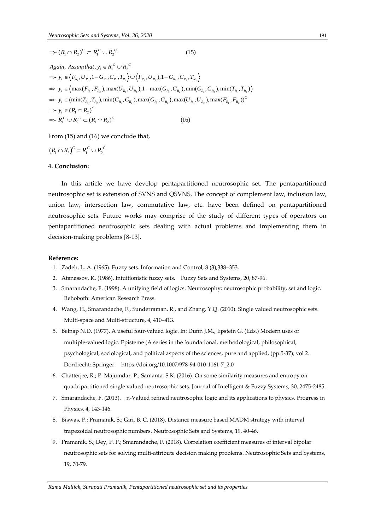$$
\Rightarrow (R_1 \cap R_2)^C \subset R_1^C \cup R_2^C \tag{15}
$$

*Again, Assumthat,*  $y_i \in R_1^C \cup R_2^C$ <br>  $\Rightarrow y_i \in \Big\langle F_{R_1}, U_{R_1}, 1 - G_{R_1}, C_{R_1}, T_{R_1} \Big\rangle \cup \Big\langle F_{R_2}, U_{R_2}, 1 - G_{R_2}, C_{R_2}, T_{R_2} \Big\rangle$  $y_i \in \left\langle F_{R_1}, U_{R_1}, 1 - G_{R_1}, C_{R_1}, T_{R_1} \right\rangle \cup \left\langle F_{R_2}, U_{R_2}, 1 - G_{R_2}, C_{R_2}, T_{R_2} \right\rangle$ <br>  $y_i \in \left\langle \max(F_{R_1}, F_{R_2}), \max(U_{R_1}, U_{R_2}), 1 - \max(G_{R_1}, G_{R_2}), \min(C_{R_1}, C_{R_2}), \min(T_{R_1}, T_{R_2}) \right\rangle$ 17 *y<sub>i</sub>* ⊂  $\langle$  1  $R_1$ , 2  $R_1$ , 1  $Q_{R_1}$ , 2  $R_1$ , 1  $R_2$ , 1  $Q_{R_2}$ , 2  $R_2$ , 1  $Q_{R_2}$ , 2  $R_2$ , 1  $R_2$ ), min(  $C_{R_1}$ ,  $C_{R_2}$ ), min( $T_{R_1}$ ,  $T_{R_2}$ )<br>
⇒ *y<sub>i</sub>* ∈ (min( $T_{R_1}$ ,  $T_{R_2}$ ), min( $C_{R_1}$ ,  $\Rightarrow (R_1 \cap R_2)^c \subset R_1^c \cup R_2^c$ <br>*Again, Assumthat, y<sub>i</sub>*  $\in R_1^c \cup R_2^c$  $\begin{aligned} & \text{Equation (S314)} \\ & \Rightarrow y_i \in \left\langle F_{R_1}, U_{R_1}, 1 - G_{R_1}, C_{R_1}, T_{R_1} \right\rangle \cup \left\langle F_{R_2}, U_{R_2} \right\rangle, 1 - G_i \\ & \Rightarrow y_i \in \left\langle \max(F_{R_1}, F_{R_2}), \max(U_{R_1}, U_{R_2}), 1 - \max(G_{R_1}, U_{R_2}), 1 - \max(G_{R_1}, U_{R_2}) \right\rangle, \end{aligned}$  $\sum_{i_1}^n \cap R_2$  $\Rightarrow$   $y_i$  ∈ (min( $T_{R_1}, T_{R_2}$ ), min( $C_{R_i}$ ,  $C$ <br>  $\Rightarrow$   $y_i$  ∈ ( $R_1 \cap R_2$ )<sup> $C$ </sup><br>  $\Rightarrow$   $R_1^C \cup R_2^C \subset (R_1 \cap R_2)^C$  $\langle \max(T_{R_1}) \rangle$ <br>(min(T<sub>R<sub>1</sub></sub>,  $(R_1 \cap R_2)$ )  $(T_{R_2}), min(C_{R_1}, C_{R_2}), max(G_{R_1}, G_{R_2}), max(U_{R_1}, U_{R_2}), max(F_{R_1}, F_{R_2}))^C$ <br>  $(R_1 \cap R_2)^C$  (16)  $F_{R_1}$ ,  $C_{R_2}$ ), min( $T_{R_1}$ <br> $F_{R_2}$ ), max( $F_{R_1}$ ,  $F_{R_2}$  $C_i \in (R_1 \cap R_2)^C$  $\Rightarrow$   $y_i \in \left(\max(\mathbf{r}_{R_i}, \mathbf{r}_{R_2}), \right)$ <br>  $\Rightarrow$   $y_i \in \left(\min(\mathbf{T}_{R_i}, \mathbf{T}_{R_2}), \right)$ <br>  $\Rightarrow$   $y_i \in (R_1 \cap R_2)^C$ 

From (15) and (16) we conclude that,

$$
(R_1 \cap R_2)^c = R_1^c \cup R_2^c
$$

### **4. Conclusion:**

In this article we have develop pentapartitioned neutrosophic set. The pentapartitioned neutrosophic set is extension of SVNS and QSVNS. The concept of complement law, inclusion law, union law, intersection law, commutative law, etc. have been defined on pentapartitioned neutrosophic sets. Future works may comprise of the study of different types of operators on pentapartitioned neutrosophic sets dealing with actual problems and implementing them in decision-making problems [8-13].

#### **Reference:**

- 1. Zadeh, L. A. (1965). Fuzzy sets. Information and Control, 8 (3),338–353.
- 2. Atanassov, K. (1986). Intuitionistic fuzzy sets. Fuzzy Sets and Systems, 20, 87-96.
- 3. Smarandache, F. (1998). A unifying field of logics. Neutrosophy: neutrosophic probability, set and logic. Rehoboth: American Research Press.
- 4. Wang, H., Smarandache, F., Sunderraman, R., and Zhang, Y.Q. (2010). Single valued neutrosophic sets. Multi-space and Multi-structure, 4, 410–413.
- 5. Belnap N.D. (1977). A useful four-valued logic. In: Dunn J.M., Epstein G. (Eds.) Modern uses of multiple-valued logic. Episteme (A series in the foundational, methodological, philosophical, psychological, sociological, and political aspects of the sciences, pure and applied, (pp.5-37), vol 2. Dordrecht: Springer. https://doi.org/10.1007/978-94-010-1161-7\_2.0
- 6. Chatterjee, R.; P. Majumdar, P.; Samanta, S.K. (2016). On some similarity measures and entropy on quadripartitioned single valued neutrosophic sets. Journal of Intelligent & Fuzzy Systems, 30, 2475-2485.
- 7. Smarandache, F. (2013). n-Valued refined neutrosophic logic and its applications to physics. Progress in Physics, 4, 143-146.
- 8. Biswas, P.; Pramanik, S.; Giri, B. C. (2018). [Distance measure based MADM strategy with interval](http://fs.unm.edu/NSS/DistanceMeasureBasedMADM.pdf)  [trapezoidal neutrosophic numbers.](http://fs.unm.edu/NSS/DistanceMeasureBasedMADM.pdf) Neutrosophic Sets and Systems, 19, 40-46.
- 9. Pramanik, S.; Dey, P. P.; Smarandache, F. (2018). Correlation coefficient measures of interval bipolar neutrosophic sets for solving multi-attribute decision making problems. Neutrosophic Sets and Systems, 19, 70-79.

*Rama Mallick, Surapati Pramanik, Pentapartitioned neutrosophic set and its properties*